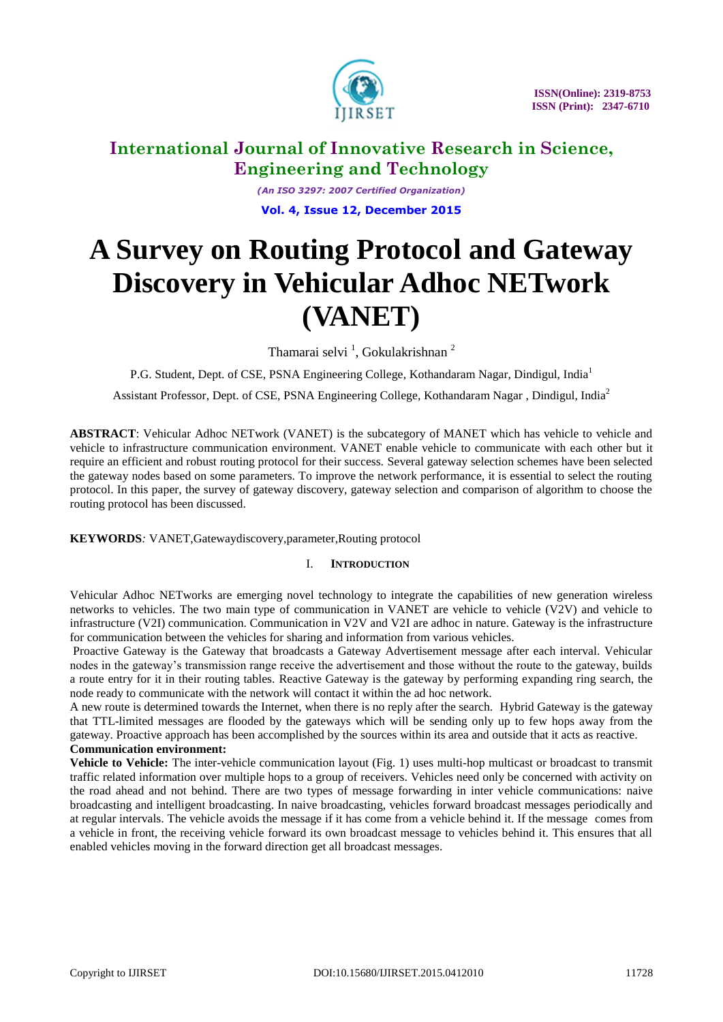

*(An ISO 3297: 2007 Certified Organization)* **Vol. 4, Issue 12, December 2015**

# **A Survey on Routing Protocol and Gateway Discovery in Vehicular Adhoc NETwork (VANET)**

Thamarai selvi<sup>1</sup>, Gokulakrishnan<sup>2</sup>

P.G. Student, Dept. of CSE, PSNA Engineering College, Kothandaram Nagar, Dindigul, India<sup>1</sup>

Assistant Professor, Dept. of CSE, PSNA Engineering College, Kothandaram Nagar , Dindigul, India<sup>2</sup>

**ABSTRACT**: Vehicular Adhoc NETwork (VANET) is the subcategory of MANET which has vehicle to vehicle and vehicle to infrastructure communication environment. VANET enable vehicle to communicate with each other but it require an efficient and robust routing protocol for their success. Several gateway selection schemes have been selected the gateway nodes based on some parameters. To improve the network performance, it is essential to select the routing protocol. In this paper, the survey of gateway discovery, gateway selection and comparison of algorithm to choose the routing protocol has been discussed.

**KEYWORDS***:* VANET,Gatewaydiscovery,parameter,Routing protocol

# I. **INTRODUCTION**

Vehicular Adhoc NETworks are emerging novel technology to integrate the capabilities of new generation wireless networks to vehicles. The two main type of communication in VANET are vehicle to vehicle (V2V) and vehicle to infrastructure (V2I) communication. Communication in V2V and V2I are adhoc in nature. Gateway is the infrastructure for communication between the vehicles for sharing and information from various vehicles.

Proactive Gateway is the Gateway that broadcasts a Gateway Advertisement message after each interval. Vehicular nodes in the gateway's transmission range receive the advertisement and those without the route to the gateway, builds a route entry for it in their routing tables. Reactive Gateway is the gateway by performing expanding ring search, the node ready to communicate with the network will contact it within the ad hoc network.

A new route is determined towards the Internet, when there is no reply after the search. Hybrid Gateway is the gateway that TTL-limited messages are flooded by the gateways which will be sending only up to few hops away from the gateway. Proactive approach has been accomplished by the sources within its area and outside that it acts as reactive.

# **Communication environment:**

**Vehicle to Vehicle:** The inter-vehicle communication layout (Fig. 1) uses multi-hop multicast or broadcast to transmit traffic related information over multiple hops to a group of receivers. Vehicles need only be concerned with activity on the road ahead and not behind. There are two types of message forwarding in inter vehicle communications: naive broadcasting and intelligent broadcasting. In naive broadcasting, vehicles forward broadcast messages periodically and at regular intervals. The vehicle avoids the message if it has come from a vehicle behind it. If the message comes from a vehicle in front, the receiving vehicle forward its own broadcast message to vehicles behind it. This ensures that all enabled vehicles moving in the forward direction get all broadcast messages.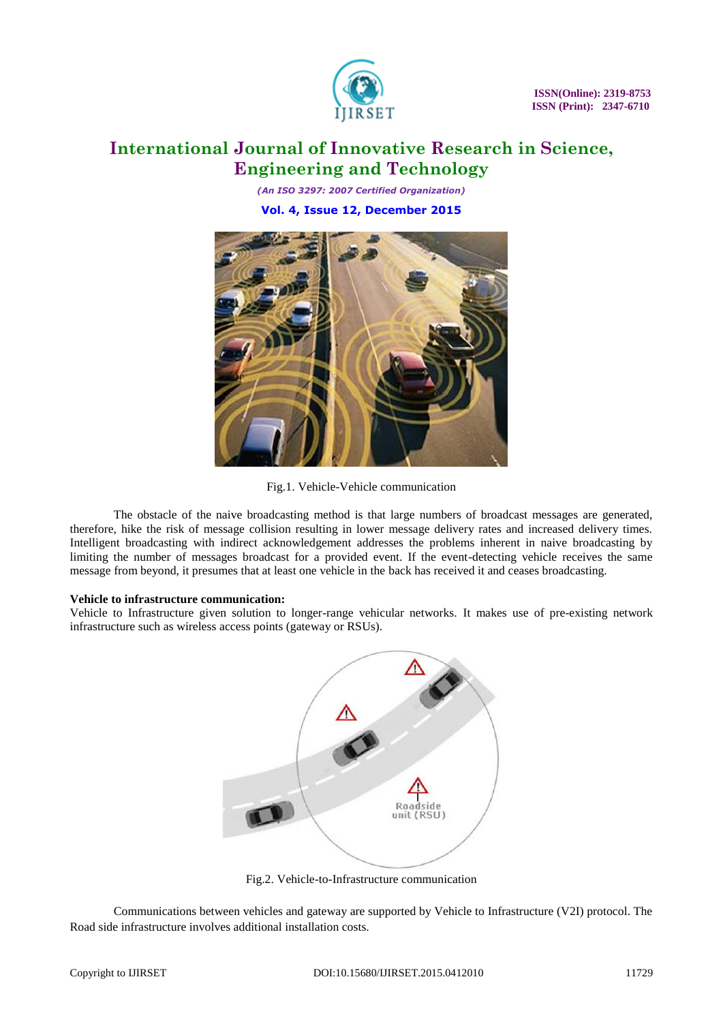

*(An ISO 3297: 2007 Certified Organization)* **Vol. 4, Issue 12, December 2015**



Fig.1. Vehicle-Vehicle communication

The obstacle of the naive broadcasting method is that large numbers of broadcast messages are generated, therefore, hike the risk of message collision resulting in lower message delivery rates and increased delivery times. Intelligent broadcasting with indirect acknowledgement addresses the problems inherent in naive broadcasting by limiting the number of messages broadcast for a provided event. If the event-detecting vehicle receives the same message from beyond, it presumes that at least one vehicle in the back has received it and ceases broadcasting.

# **Vehicle to infrastructure communication:**

Vehicle to Infrastructure given solution to longer-range vehicular networks. It makes use of pre-existing network infrastructure such as wireless access points (gateway or RSUs).



Fig.2. Vehicle-to-Infrastructure communication

Communications between vehicles and gateway are supported by Vehicle to Infrastructure (V2I) protocol. The Road side infrastructure involves additional installation costs.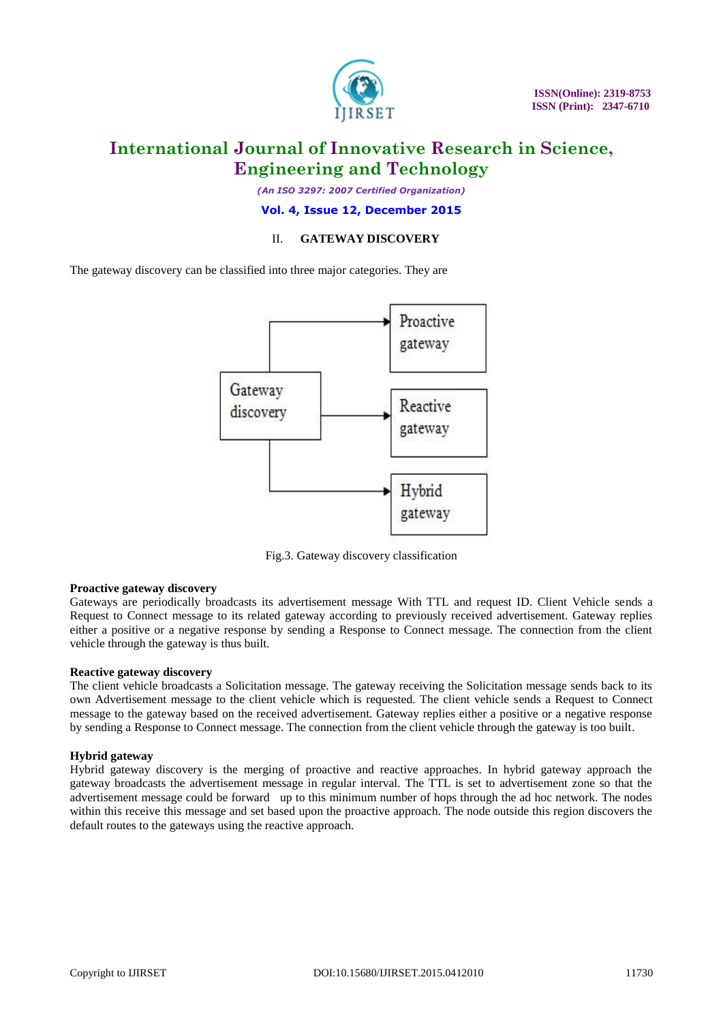

*(An ISO 3297: 2007 Certified Organization)*

**Vol. 4, Issue 12, December 2015**

# II. **GATEWAY DISCOVERY**

The gateway discovery can be classified into three major categories. They are



Fig.3. Gateway discovery classification

# **Proactive gateway discovery**

Gateways are periodically broadcasts its advertisement message With TTL and request ID. Client Vehicle sends a Request to Connect message to its related gateway according to previously received advertisement. Gateway replies either a positive or a negative response by sending a Response to Connect message. The connection from the client vehicle through the gateway is thus built.

## **Reactive gateway discovery**

The client vehicle broadcasts a Solicitation message. The gateway receiving the Solicitation message sends back to its own Advertisement message to the client vehicle which is requested. The client vehicle sends a Request to Connect message to the gateway based on the received advertisement. Gateway replies either a positive or a negative response by sending a Response to Connect message. The connection from the client vehicle through the gateway is too built.

## **Hybrid gateway**

Hybrid gateway discovery is the merging of proactive and reactive approaches. In hybrid gateway approach the gateway broadcasts the advertisement message in regular interval. The TTL is set to advertisement zone so that the advertisement message could be forward up to this minimum number of hops through the ad hoc network. The nodes within this receive this message and set based upon the proactive approach. The node outside this region discovers the default routes to the gateways using the reactive approach.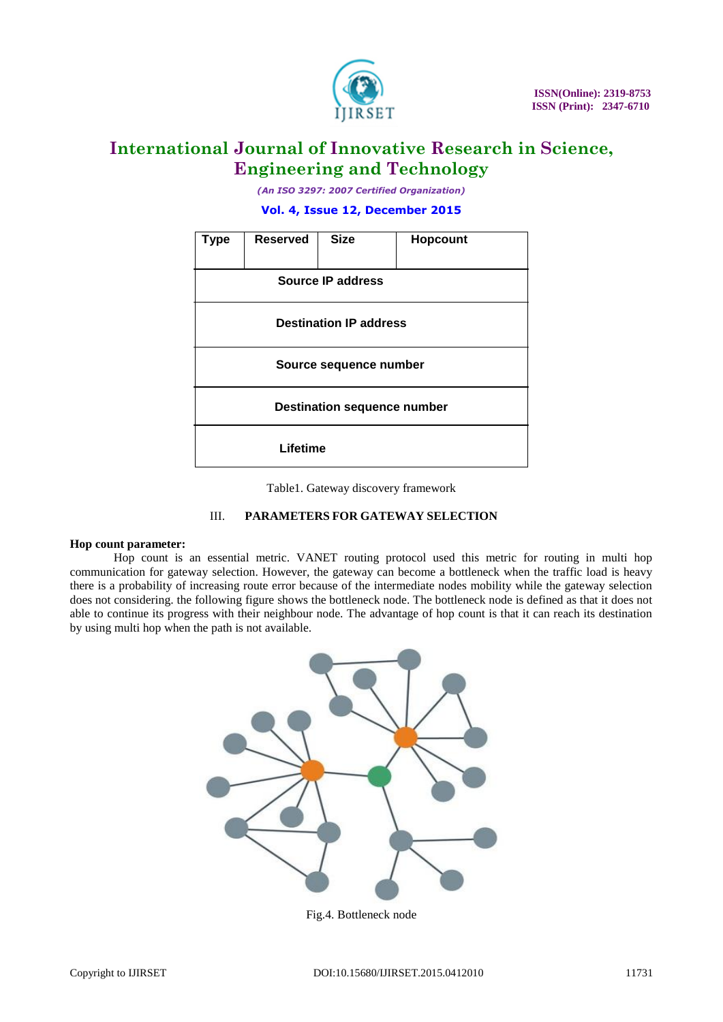

*(An ISO 3297: 2007 Certified Organization)*

**Vol. 4, Issue 12, December 2015**



Table1. Gateway discovery framework

# III. **PARAMETERS FOR GATEWAY SELECTION**

#### **Hop count parameter:**

Hop count is an essential metric. VANET routing protocol used this metric for routing in multi hop communication for gateway selection. However, the gateway can become a bottleneck when the traffic load is heavy there is a probability of increasing route error because of the intermediate nodes mobility while the gateway selection does not considering. the following figure shows the bottleneck node. The bottleneck node is defined as that it does not able to continue its progress with their neighbour node. The advantage of hop count is that it can reach its destination by using multi hop when the path is not available.



Fig.4. Bottleneck node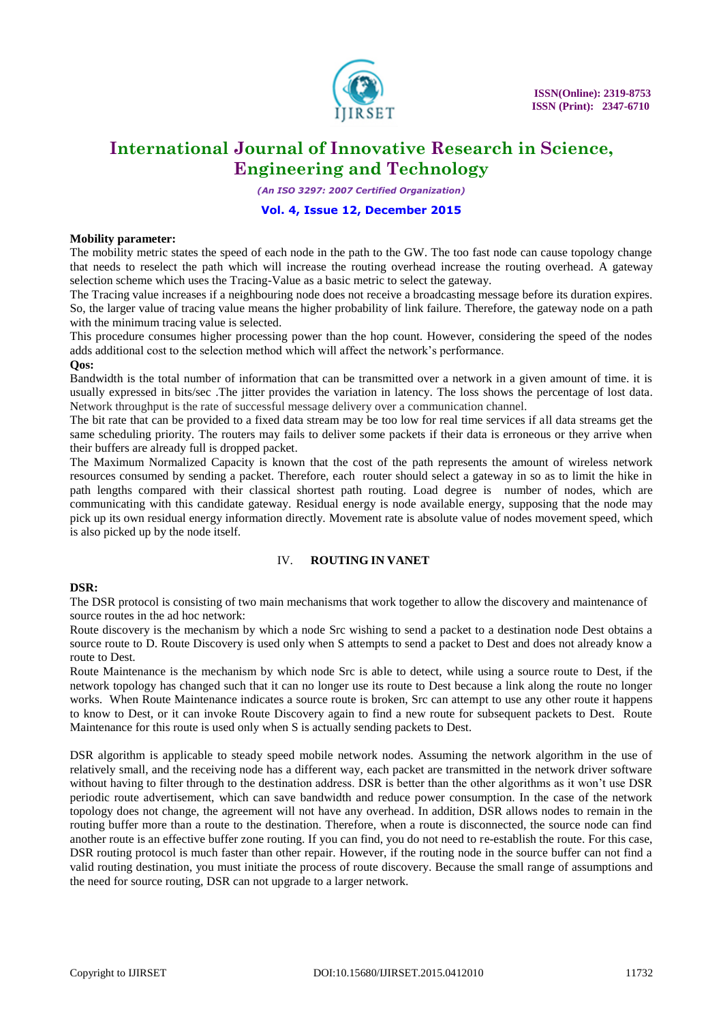

*(An ISO 3297: 2007 Certified Organization)*

#### **Vol. 4, Issue 12, December 2015**

#### **Mobility parameter:**

The mobility metric states the speed of each node in the path to the GW. The too fast node can cause topology change that needs to reselect the path which will increase the routing overhead increase the routing overhead. A gateway selection scheme which uses the Tracing-Value as a basic metric to select the gateway.

The Tracing value increases if a neighbouring node does not receive a broadcasting message before its duration expires. So, the larger value of tracing value means the higher probability of link failure. Therefore, the gateway node on a path with the minimum tracing value is selected.

This procedure consumes higher processing power than the hop count. However, considering the speed of the nodes adds additional cost to the selection method which will affect the network's performance. **Qos:**

Bandwidth is the total number of information that can be transmitted over a network in a given amount of time. it is usually expressed in bits/sec .The jitter provides the variation in latency. The loss shows the percentage of lost data. Network throughput is the rate of successful message delivery over a communication channel.

The bit rate that can be provided to a fixed data stream may be too low for real time services if all data streams get the same scheduling priority. The routers may fails to deliver some packets if their data is erroneous or they arrive when their buffers are already full is dropped packet.

The Maximum Normalized Capacity is known that the cost of the path represents the amount of wireless network resources consumed by sending a packet. Therefore, each router should select a gateway in so as to limit the hike in path lengths compared with their classical shortest path routing. Load degree is number of nodes, which are communicating with this candidate gateway. Residual energy is node available energy, supposing that the node may pick up its own residual energy information directly. Movement rate is absolute value of nodes movement speed, which is also picked up by the node itself.

#### IV. **ROUTING IN VANET**

#### **DSR:**

The DSR protocol is consisting of two main mechanisms that work together to allow the discovery and maintenance of source routes in the ad hoc network:

Route discovery is the mechanism by which a node Src wishing to send a packet to a destination node Dest obtains a source route to D. Route Discovery is used only when S attempts to send a packet to Dest and does not already know a route to Dest.

Route Maintenance is the mechanism by which node Src is able to detect, while using a source route to Dest, if the network topology has changed such that it can no longer use its route to Dest because a link along the route no longer works. When Route Maintenance indicates a source route is broken, Src can attempt to use any other route it happens to know to Dest, or it can invoke Route Discovery again to find a new route for subsequent packets to Dest. Route Maintenance for this route is used only when S is actually sending packets to Dest.

DSR algorithm is applicable to steady speed mobile network nodes. Assuming the network algorithm in the use of relatively small, and the receiving node has a different way, each packet are transmitted in the network driver software without having to filter through to the destination address. DSR is better than the other algorithms as it won't use DSR periodic route advertisement, which can save bandwidth and reduce power consumption. In the case of the network topology does not change, the agreement will not have any overhead. In addition, DSR allows nodes to remain in the routing buffer more than a route to the destination. Therefore, when a route is disconnected, the source node can find another route is an effective buffer zone routing. If you can find, you do not need to re-establish the route. For this case, DSR routing protocol is much faster than other repair. However, if the routing node in the source buffer can not find a valid routing destination, you must initiate the process of route discovery. Because the small range of assumptions and the need for source routing, DSR can not upgrade to a larger network.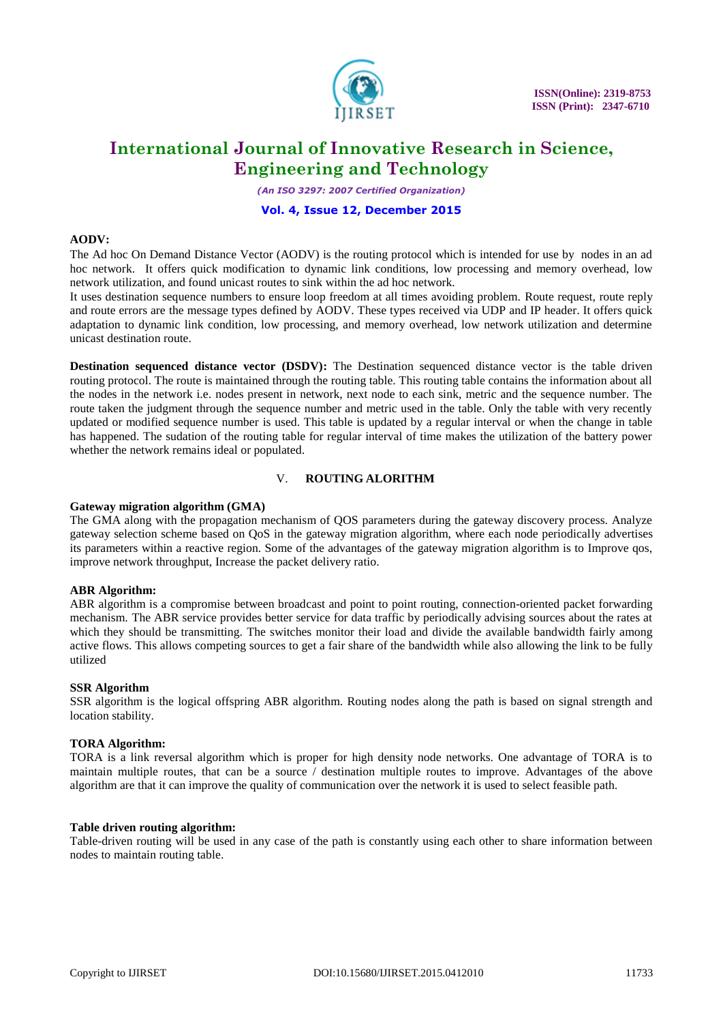

*(An ISO 3297: 2007 Certified Organization)*

#### **Vol. 4, Issue 12, December 2015**

#### **AODV:**

The Ad hoc On Demand Distance Vector (AODV) is the routing protocol which is intended for use by nodes in an ad hoc network. It offers quick modification to dynamic link conditions, low processing and memory overhead, low network utilization, and found unicast routes to sink within the ad hoc network.

It uses destination sequence numbers to ensure loop freedom at all times avoiding problem. Route request, route reply and route errors are the message types defined by AODV. These types received via UDP and IP header. It offers quick adaptation to dynamic link condition, low processing, and memory overhead, low network utilization and determine unicast destination route.

**Destination sequenced distance vector (DSDV):** The Destination sequenced distance vector is the table driven routing protocol. The route is maintained through the routing table. This routing table contains the information about all the nodes in the network i.e. nodes present in network, next node to each sink, metric and the sequence number. The route taken the judgment through the sequence number and metric used in the table. Only the table with very recently updated or modified sequence number is used. This table is updated by a regular interval or when the change in table has happened. The sudation of the routing table for regular interval of time makes the utilization of the battery power whether the network remains ideal or populated.

## V. **ROUTING ALORITHM**

#### **Gateway migration algorithm (GMA)**

The GMA along with the propagation mechanism of QOS parameters during the gateway discovery process. Analyze gateway selection scheme based on QoS in the gateway migration algorithm, where each node periodically advertises its parameters within a reactive region. Some of the advantages of the gateway migration algorithm is to Improve qos, improve network throughput, Increase the packet delivery ratio.

#### **ABR Algorithm:**

ABR algorithm is a compromise between broadcast and point to point routing, connection-oriented packet forwarding mechanism. The ABR service provides better service for data traffic by periodically advising sources about the rates at which they should be transmitting. The switches monitor their load and divide the available bandwidth fairly among active flows. This allows competing sources to get a fair share of the bandwidth while also allowing the link to be fully utilized

#### **SSR Algorithm**

SSR algorithm is the logical offspring ABR algorithm. Routing nodes along the path is based on signal strength and location stability.

#### **TORA Algorithm:**

TORA is a link reversal algorithm which is proper for high density node networks. One advantage of TORA is to maintain multiple routes, that can be a source / destination multiple routes to improve. Advantages of the above algorithm are that it can improve the quality of communication over the network it is used to select feasible path.

#### **Table driven routing algorithm:**

Table-driven routing will be used in any case of the path is constantly using each other to share information between nodes to maintain routing table.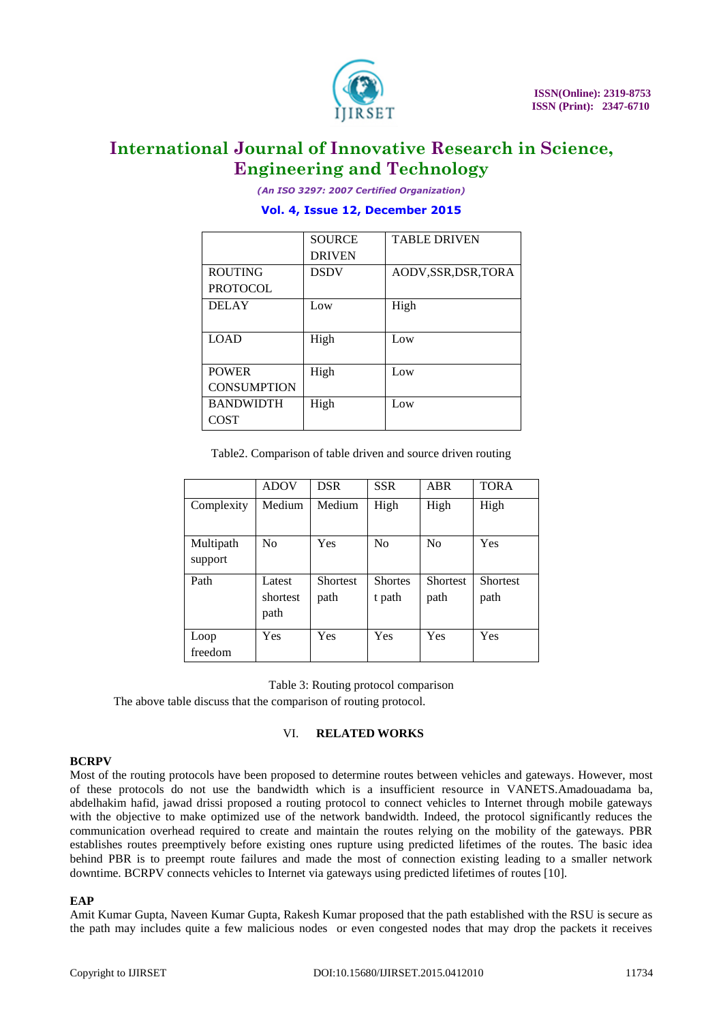

*(An ISO 3297: 2007 Certified Organization)*

## **Vol. 4, Issue 12, December 2015**

|                    | <b>SOURCE</b> | <b>TABLE DRIVEN</b>  |
|--------------------|---------------|----------------------|
|                    | <b>DRIVEN</b> |                      |
| <b>ROUTING</b>     | <b>DSDV</b>   | AODV, SSR, DSR, TORA |
| <b>PROTOCOL</b>    |               |                      |
| <b>DELAY</b>       | Low           | High                 |
|                    |               |                      |
| <b>LOAD</b>        | High          | Low                  |
|                    |               |                      |
| <b>POWER</b>       | High          | Low                  |
| <b>CONSUMPTION</b> |               |                      |
| <b>BANDWIDTH</b>   | High          | Low                  |
| <b>COST</b>        |               |                      |

Table2. Comparison of table driven and source driven routing

|                      | <b>ADOV</b>                | <b>DSR</b>              | <b>SSR</b>               | <b>ABR</b>              | <b>TORA</b>      |
|----------------------|----------------------------|-------------------------|--------------------------|-------------------------|------------------|
| Complexity           | Medium                     | Medium                  | High                     | High                    | High             |
| Multipath<br>support | N <sub>0</sub>             | Yes                     | N <sub>0</sub>           | N <sub>0</sub>          | Yes              |
| Path                 | Latest<br>shortest<br>path | <b>Shortest</b><br>path | <b>Shortes</b><br>t path | <b>Shortest</b><br>path | Shortest<br>path |
| Loop<br>freedom      | Yes                        | Yes                     | Yes                      | Yes                     | Yes              |

Table 3: Routing protocol comparison

The above table discuss that the comparison of routing protocol.

## VI. **RELATED WORKS**

## **BCRPV**

Most of the routing protocols have been proposed to determine routes between vehicles and gateways. However, most of these protocols do not use the bandwidth which is a insufficient resource in VANETS.Amadouadama ba, abdelhakim hafid, jawad drissi proposed a routing protocol to connect vehicles to Internet through mobile gateways with the objective to make optimized use of the network bandwidth. Indeed, the protocol significantly reduces the communication overhead required to create and maintain the routes relying on the mobility of the gateways. PBR establishes routes preemptively before existing ones rupture using predicted lifetimes of the routes. The basic idea behind PBR is to preempt route failures and made the most of connection existing leading to a smaller network downtime. BCRPV connects vehicles to Internet via gateways using predicted lifetimes of routes [10].

#### **EAP**

Amit Kumar Gupta, Naveen Kumar Gupta, Rakesh Kumar proposed that the path established with the RSU is secure as the path may includes quite a few malicious nodes or even congested nodes that may drop the packets it receives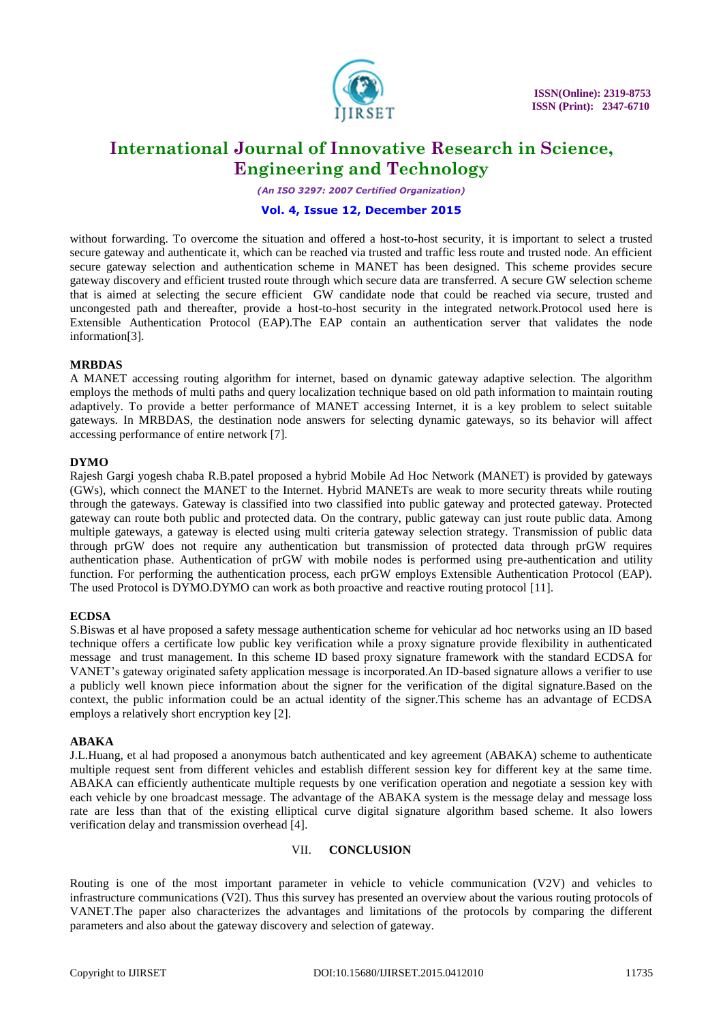

*(An ISO 3297: 2007 Certified Organization)*

### **Vol. 4, Issue 12, December 2015**

without forwarding. To overcome the situation and offered a host-to-host security, it is important to select a trusted secure gateway and authenticate it, which can be reached via trusted and traffic less route and trusted node. An efficient secure gateway selection and authentication scheme in MANET has been designed. This scheme provides secure gateway discovery and efficient trusted route through which secure data are transferred. A secure GW selection scheme that is aimed at selecting the secure efficient GW candidate node that could be reached via secure, trusted and uncongested path and thereafter, provide a host-to-host security in the integrated network.Protocol used here is Extensible Authentication Protocol (EAP).The EAP contain an authentication server that validates the node information[3].

## **MRBDAS**

A MANET accessing routing algorithm for internet, based on dynamic gateway adaptive selection. The algorithm employs the methods of multi paths and query localization technique based on old path information to maintain routing adaptively. To provide a better performance of MANET accessing Internet, it is a key problem to select suitable gateways. In MRBDAS, the destination node answers for selecting dynamic gateways, so its behavior will affect accessing performance of entire network [7].

#### **DYMO**

Rajesh Gargi yogesh chaba R.B.patel proposed a hybrid Mobile Ad Hoc Network (MANET) is provided by gateways (GWs), which connect the MANET to the Internet. Hybrid MANETs are weak to more security threats while routing through the gateways. Gateway is classified into two classified into public gateway and protected gateway. Protected gateway can route both public and protected data. On the contrary, public gateway can just route public data. Among multiple gateways, a gateway is elected using multi criteria gateway selection strategy. Transmission of public data through prGW does not require any authentication but transmission of protected data through prGW requires authentication phase. Authentication of prGW with mobile nodes is performed using pre-authentication and utility function. For performing the authentication process, each prGW employs Extensible Authentication Protocol (EAP). The used Protocol is DYMO.DYMO can work as both proactive and reactive routing protocol [11].

## **ECDSA**

S.Biswas et al have proposed a safety message authentication scheme for vehicular ad hoc networks using an ID based technique offers a certificate low public key verification while a proxy signature provide flexibility in authenticated message and trust management. In this scheme ID based proxy signature framework with the standard ECDSA for VANET's gateway originated safety application message is incorporated.An ID-based signature allows a verifier to use a publicly well known piece information about the signer for the verification of the digital signature.Based on the context, the public information could be an actual identity of the signer.This scheme has an advantage of ECDSA employs a relatively short encryption key [2].

## **ABAKA**

J.L.Huang, et al had proposed a anonymous batch authenticated and key agreement (ABAKA) scheme to authenticate multiple request sent from different vehicles and establish different session key for different key at the same time. ABAKA can efficiently authenticate multiple requests by one verification operation and negotiate a session key with each vehicle by one broadcast message. The advantage of the ABAKA system is the message delay and message loss rate are less than that of the existing elliptical curve digital signature algorithm based scheme. It also lowers verification delay and transmission overhead [4].

# VII. **CONCLUSION**

Routing is one of the most important parameter in vehicle to vehicle communication (V2V) and vehicles to infrastructure communications (V2I). Thus this survey has presented an overview about the various routing protocols of VANET.The paper also characterizes the advantages and limitations of the protocols by comparing the different parameters and also about the gateway discovery and selection of gateway.